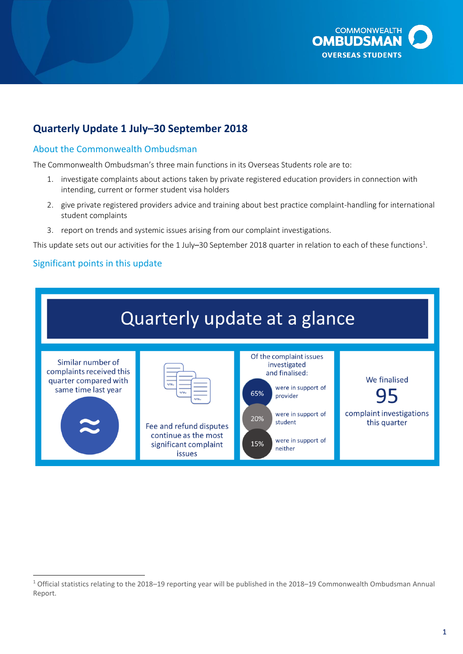

# **Quarterly Update 1 July–30 September 2018**

## About the Commonwealth Ombudsman

The Commonwealth Ombudsman's three main functions in its Overseas Students role are to:

- 1. investigate complaints about actions taken by private registered education providers in connection with intending, current or former student visa holders
- 2. give private registered providers advice and training about best practice complaint-handling for international student complaints
- 3. report on trends and systemic issues arising from our complaint investigations.

This update sets out our activities for the 1 July–30 September 2018 quarter in relation to each of these functions<sup>1</sup>.

## Significant points in this update



 $\overline{a}$ <sup>1</sup> Official statistics relating to the 2018–19 reporting year will be published in the 2018–19 Commonwealth Ombudsman Annual Report.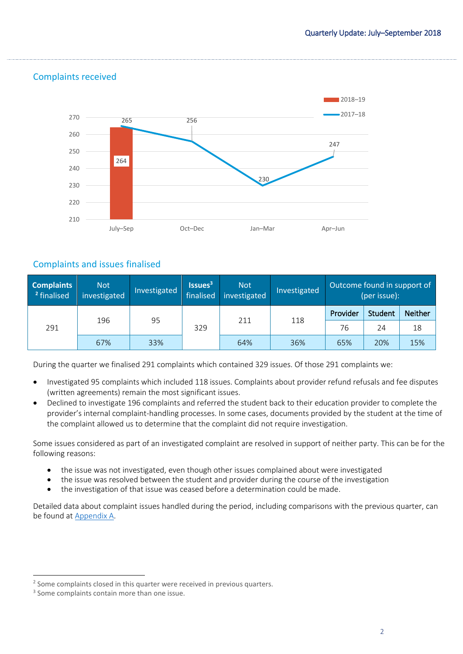

# Complaints received

# Complaints and issues finalised

| <b>Complaints</b><br><sup>2</sup> finalised | <b>Not</b><br>investigated | Investigated | Issues <sup>3</sup><br>finalised | <b>Not</b><br>investigated | Investigated | Outcome found in support of<br>(per issue): |         |                |
|---------------------------------------------|----------------------------|--------------|----------------------------------|----------------------------|--------------|---------------------------------------------|---------|----------------|
| 291                                         |                            | 95           | 329                              | 211                        |              | Provider                                    | Student | <b>Neither</b> |
|                                             | 196                        |              |                                  |                            | 118          | 76                                          | 24      | 18             |
|                                             | 67%                        | 33%          |                                  | 64%                        | 36%          | 65%                                         | 20%     | 15%            |

During the quarter we finalised 291 complaints which contained 329 issues. Of those 291 complaints we:

- Investigated 95 complaints which included 118 issues. Complaints about provider refund refusals and fee disputes (written agreements) remain the most significant issues.
- Declined to investigate 196 complaints and referred the student back to their education provider to complete the provider's internal complaint-handling processes. In some cases, documents provided by the student at the time of the complaint allowed us to determine that the complaint did not require investigation.

Some issues considered as part of an investigated complaint are resolved in support of neither party. This can be for the following reasons:

- the issue was not investigated, even though other issues complained about were investigated
- the issue was resolved between the student and provider during the course of the investigation
- the investigation of that issue was ceased before a determination could be made.

Detailed data about complaint issues handled during the period, including comparisons with the previous quarter, can be found at [Appendix A.](#page-7-0)

 $\overline{a}$ 

<sup>&</sup>lt;sup>2</sup> Some complaints closed in this quarter were received in previous quarters.

<sup>&</sup>lt;sup>3</sup> Some complaints contain more than one issue.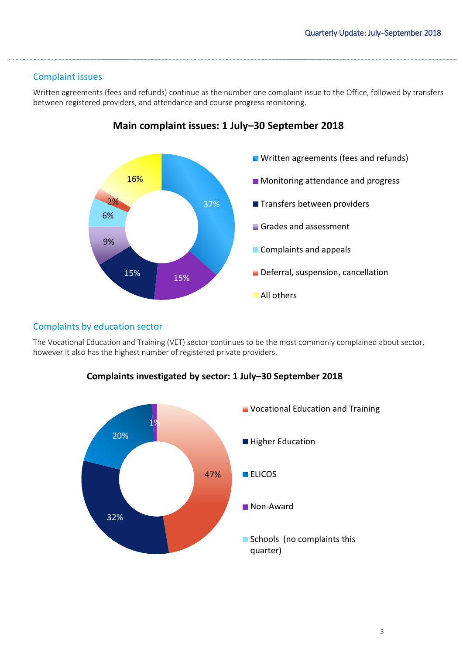# Complaint issues

Written agreements (fees and refunds) continue as the number one complaint issue to the Office, followed by transfers between registered providers, and attendance and course progress monitoring.



# **Main complaint issues: 1 July–30 September 2018**

## Complaints by education sector

The Vocational Education and Training (VET) sector continues to be the most commonly complained about sector, however it also has the highest number of registered private providers.



## **Complaints investigated by sector: 1 July–30 September 2018**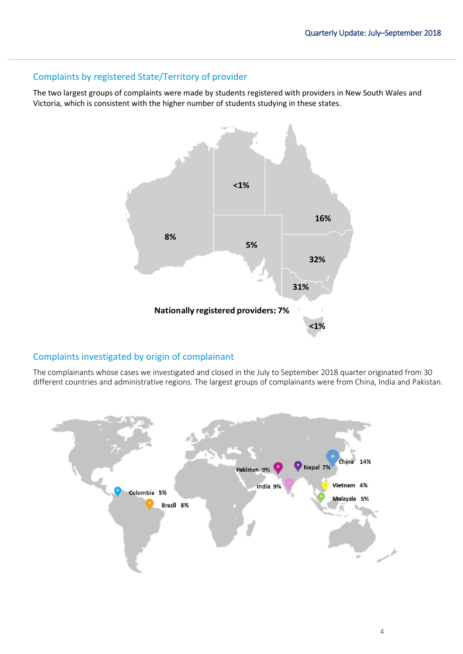# Complaints by registered State/Territory of provider

The two largest groups of complaints were made by students registered with providers in New South Wales and Victoria, which is consistent with the higher number of students studying in these states.



# Complaints investigated by origin of complainant

The complainants whose cases we investigated and closed in the July to September 2018 quarter originated from 30 different countries and administrative regions. The largest groups of complainants were from China, India and Pakistan.

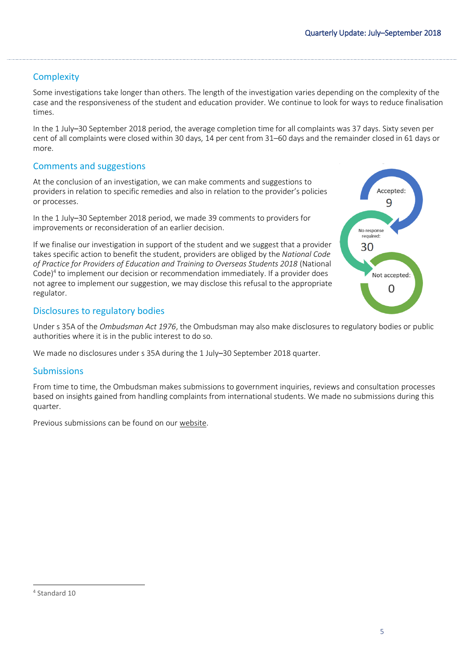# **Complexity**

Some investigations take longer than others. The length of the investigation varies depending on the complexity of the case and the responsiveness of the student and education provider. We continue to look for ways to reduce finalisation times.

In the 1 July–30 September 2018 period, the average completion time for all complaints was 37 days. Sixty seven per cent of all complaints were closed within 30 days, 14 per cent from 31–60 days and the remainder closed in 61 days or more.

# Comments and suggestions

At the conclusion of an investigation, we can make comments and suggestions to providers in relation to specific remedies and also in relation to the provider's policies or processes.

In the 1 July–30 September 2018 period, we made 39 comments to providers for improvements or reconsideration of an earlier decision.

If we finalise our investigation in support of the student and we suggest that a provider takes specific action to benefit the student, providers are obliged by the *National Code of Practice for Providers of Education and Training to Overseas Students 2018* (National Code)<sup>4</sup> to implement our decision or recommendation immediately. If a provider does not agree to implement our suggestion, we may disclose this refusal to the appropriate regulator.



#### Disclosures to regulatory bodies

Under s 35A of the *Ombudsman Act 1976*, the Ombudsman may also make disclosures to regulatory bodies or public authorities where it is in the public interest to do so.

We made no disclosures under s 35A during the 1 July–30 September 2018 quarter.

#### Submissions

From time to time, the Ombudsman makes submissions to government inquiries, reviews and consultation processes based on insights gained from handling complaints from international students. We made no submissions during this quarter.

Previous submissions can be found on our [website.](http://www.ombudsman.gov.au/publications/submissions)

 $\overline{a}$ 4 Standard 10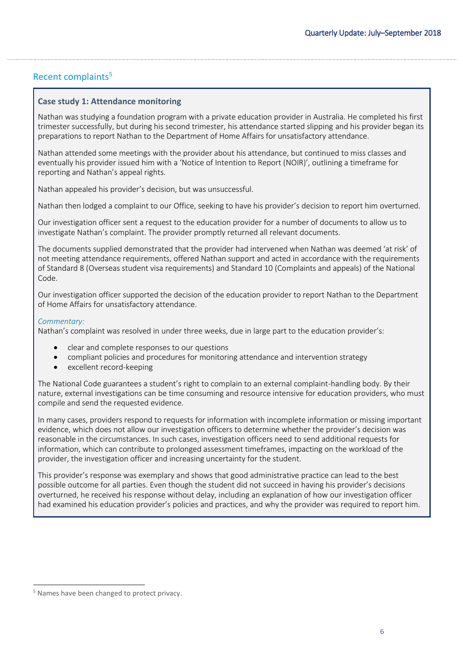# Recent complaints<sup>5</sup>

#### **Case study 1: Attendance monitoring**

Nathan was studying a foundation program with a private education provider in Australia. He completed his first trimester successfully, but during his second trimester, his attendance started slipping and his provider began its preparations to report Nathan to the Department of Home Affairs for unsatisfactory attendance.

Nathan attended some meetings with the provider about his attendance, but continued to miss classes and eventually his provider issued him with a 'Notice of Intention to Report (NOIR)', outlining a timeframe for reporting and Nathan's appeal rights.

Nathan appealed his provider's decision, but was unsuccessful.

Nathan then lodged a complaint to our Office, seeking to have his provider's decision to report him overturned.

Our investigation officer sent a request to the education provider for a number of documents to allow us to investigate Nathan's complaint. The provider promptly returned all relevant documents.

The documents supplied demonstrated that the provider had intervened when Nathan was deemed 'at risk' of not meeting attendance requirements, offered Nathan support and acted in accordance with the requirements of Standard 8 (Overseas student visa requirements) and Standard 10 (Complaints and appeals) of the National Code.

Our investigation officer supported the decision of the education provider to report Nathan to the Department of Home Affairs for unsatisfactory attendance.

#### *Commentary:*

Nathan's complaint was resolved in under three weeks, due in large part to the education provider's:

- clear and complete responses to our questions
- compliant policies and procedures for monitoring attendance and intervention strategy
- excellent record-keeping

The National Code guarantees a student's right to complain to an external complaint-handling body. By their nature, external investigations can be time consuming and resource intensive for education providers, who must compile and send the requested evidence.

In many cases, providers respond to requests for information with incomplete information or missing important evidence, which does not allow our investigation officers to determine whether the provider's decision was reasonable in the circumstances. In such cases, investigation officers need to send additional requests for information, which can contribute to prolonged assessment timeframes, impacting on the workload of the provider, the investigation officer and increasing uncertainty for the student.

This provider's response was exemplary and shows that good administrative practice can lead to the best possible outcome for all parties. Even though the student did not succeed in having his provider's decisions overturned, he received his response without delay, including an explanation of how our investigation officer had examined his education provider's policies and practices, and why the provider was required to report him.

 $\overline{a}$ 

<sup>5</sup> Names have been changed to protect privacy.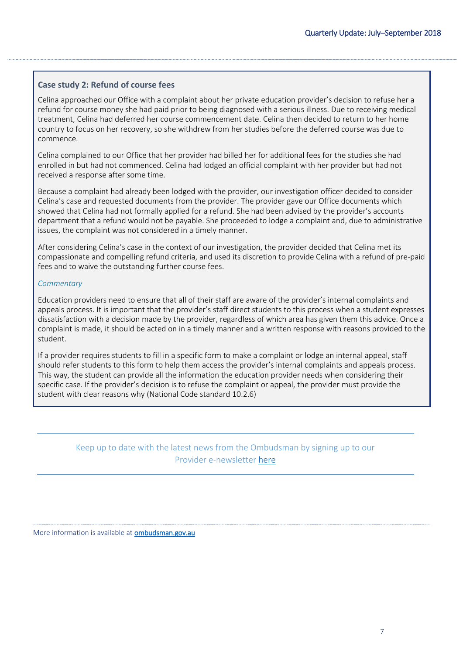#### **Case study 2: Refund of course fees**

Celina approached our Office with a complaint about her private education provider's decision to refuse her a refund for course money she had paid prior to being diagnosed with a serious illness. Due to receiving medical treatment, Celina had deferred her course commencement date. Celina then decided to return to her home country to focus on her recovery, so she withdrew from her studies before the deferred course was due to commence.

Celina complained to our Office that her provider had billed her for additional fees for the studies she had enrolled in but had not commenced. Celina had lodged an official complaint with her provider but had not received a response after some time.

Because a complaint had already been lodged with the provider, our investigation officer decided to consider Celina's case and requested documents from the provider. The provider gave our Office documents which showed that Celina had not formally applied for a refund. She had been advised by the provider's accounts department that a refund would not be payable. She proceeded to lodge a complaint and, due to administrative issues, the complaint was not considered in a timely manner.

After considering Celina's case in the context of our investigation, the provider decided that Celina met its compassionate and compelling refund criteria, and used its discretion to provide Celina with a refund of pre-paid fees and to waive the outstanding further course fees.

#### *Commentary*

Education providers need to ensure that all of their staff are aware of the provider's internal complaints and appeals process. It is important that the provider's staff direct students to this process when a student expresses dissatisfaction with a decision made by the provider, regardless of which area has given them this advice. Once a complaint is made, it should be acted on in a timely manner and a written response with reasons provided to the student.

If a provider requires students to fill in a specific form to make a complaint or lodge an internal appeal, staff should refer students to this form to help them access the provider's internal complaints and appeals process. This way, the student can provide all the information the education provider needs when considering their specific case. If the provider's decision is to refuse the complaint or appeal, the provider must provide the student with clear reasons why (National Code standard 10.2.6)

# Keep up to date with the latest news from the Ombudsman by signing up to our Provider e-newsletter [here](http://www.ombudsman.gov.au/news-and-media/e-bulletins/overseas-student-provider-e-news/subscribe-to-the-overseas-student-ombudsman-provider-e-newsletter)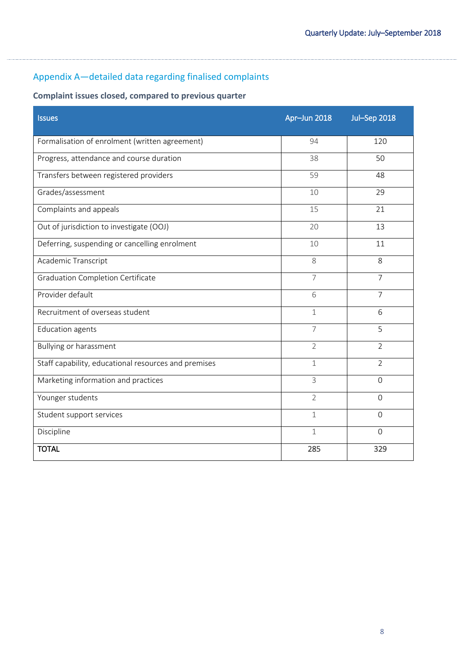# <span id="page-7-0"></span>Appendix A—detailed data regarding finalised complaints

# **Complaint issues closed, compared to previous quarter**

| <b>Issues</b>                                        | Apr-Jun 2018   | <b>Jul-Sep 2018</b> |
|------------------------------------------------------|----------------|---------------------|
| Formalisation of enrolment (written agreement)       | 94             | 120                 |
| Progress, attendance and course duration             | 38             | 50                  |
| Transfers between registered providers               | 59             | 48                  |
| Grades/assessment                                    | 10             | 29                  |
| Complaints and appeals                               | 15             | 21                  |
| Out of jurisdiction to investigate (OOJ)             | 20             | 13                  |
| Deferring, suspending or cancelling enrolment        | 10             | 11                  |
| Academic Transcript                                  | 8              | 8                   |
| <b>Graduation Completion Certificate</b>             | $\overline{7}$ | $\overline{7}$      |
| Provider default                                     | 6              | $\overline{7}$      |
| Recruitment of overseas student                      | $\mathbf 1$    | 6                   |
| <b>Education agents</b>                              | 7              | 5                   |
| <b>Bullying or harassment</b>                        | $\overline{2}$ | $\overline{2}$      |
| Staff capability, educational resources and premises | $\mathbf 1$    | $\overline{2}$      |
| Marketing information and practices                  | 3              | $\Omega$            |
| Younger students                                     | $\overline{2}$ | $\Omega$            |
| Student support services                             | $\mathbf 1$    | $\mathbf{O}$        |
| Discipline                                           | 1              | $\Omega$            |
| <b>TOTAL</b>                                         | 285            | 329                 |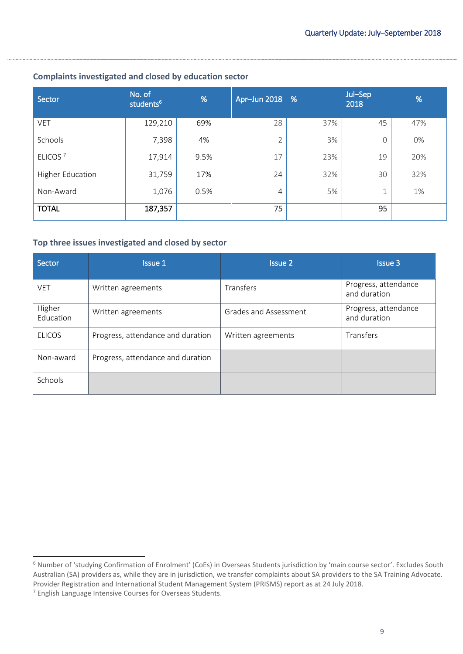| Sector                  | No. of<br>students <sup>6</sup> | %    | Apr-Jun 2018 % |     | Jul-Sep<br>2018 | %   |
|-------------------------|---------------------------------|------|----------------|-----|-----------------|-----|
| <b>VET</b>              | 129,210                         | 69%  | 28             | 37% | 45              | 47% |
| Schools                 | 7,398                           | 4%   | $\overline{2}$ | 3%  | $\Omega$        | 0%  |
| ELICOS <sup>7</sup>     | 17,914                          | 9.5% | 17             | 23% | 19              | 20% |
| <b>Higher Education</b> | 31,759                          | 17%  | 24             | 32% | 30              | 32% |
| Non-Award               | 1,076                           | 0.5% | 4              | 5%  |                 | 1%  |
| <b>TOTAL</b>            | 187,357                         |      | 75             |     | 95              |     |

## **Complaints investigated and closed by education sector**

#### **Top three issues investigated and closed by sector**

| Sector              | <b>Issue 1</b>                    | <b>Issue 2</b>        | <b>Issue 3</b>                       |
|---------------------|-----------------------------------|-----------------------|--------------------------------------|
| <b>VET</b>          | Written agreements                | Transfers             | Progress, attendance<br>and duration |
| Higher<br>Education | Written agreements                | Grades and Assessment | Progress, attendance<br>and duration |
| <b>ELICOS</b>       | Progress, attendance and duration | Written agreements    | Transfers                            |
| Non-award           | Progress, attendance and duration |                       |                                      |
| <b>Schools</b>      |                                   |                       |                                      |

 $\overline{a}$ 

<sup>6</sup> Number of 'studying Confirmation of Enrolment' (CoEs) in Overseas Students jurisdiction by 'main course sector'. Excludes South Australian (SA) providers as, while they are in jurisdiction, we transfer complaints about SA providers to the SA Training Advocate. Provider Registration and International Student Management System (PRISMS) report as at 24 July 2018.

<sup>7</sup> English Language Intensive Courses for Overseas Students.